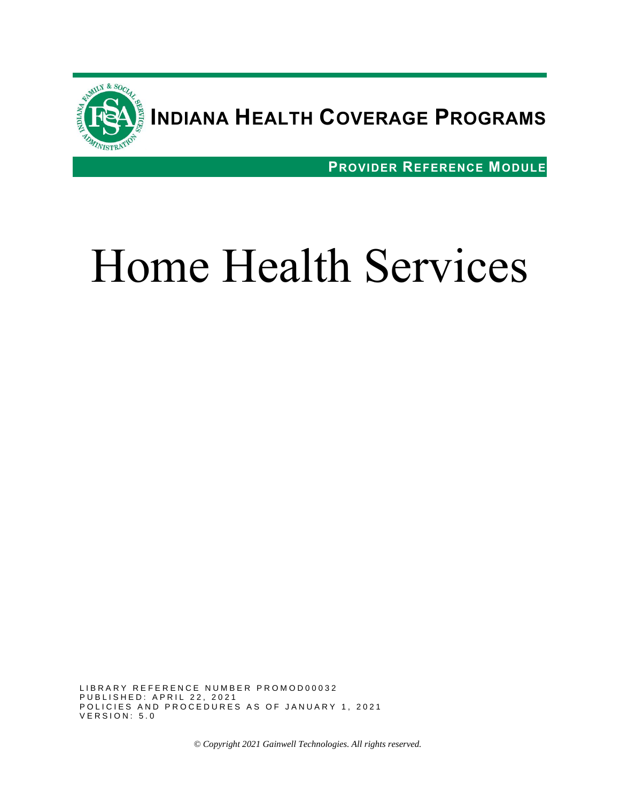

## **INDIANA HEALTH COVERAGE PROGRAMS**

**PROVIDER REFERENCE MODULE**

# Home Health Services

LIBRARY REFERENCE NUMBER PROMOD00032 P U B L I S H E D : A P R I L 22, 2021 POLICIES AND PROCEDURES AS OF JANUARY 1, 2021 VERSION: 5.0

*© Copyright 2021 Gainwell Technologies. All rights reserved.*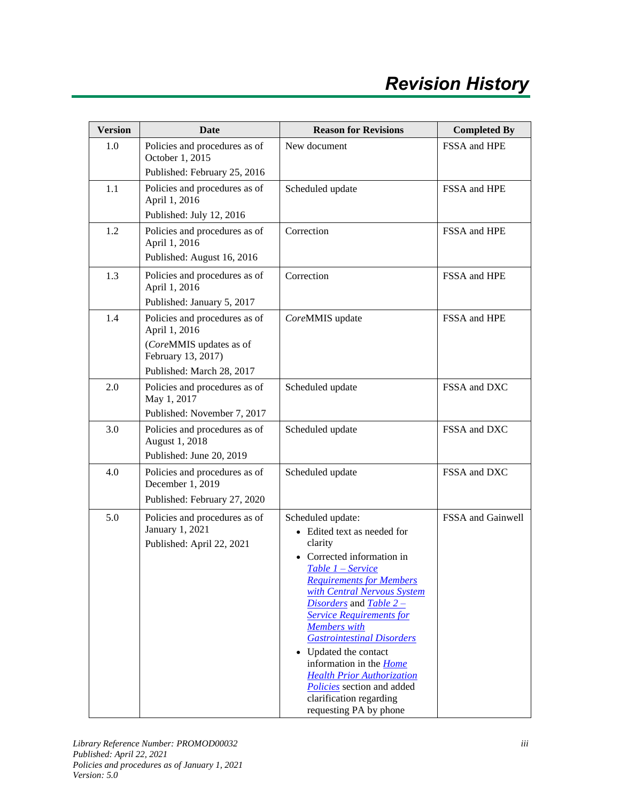| <b>Version</b> | <b>Date</b>                                                                                                                  | <b>Reason for Revisions</b>                                                                                                                                                                                                                                                                                                                                                                                                                                                                      | <b>Completed By</b> |
|----------------|------------------------------------------------------------------------------------------------------------------------------|--------------------------------------------------------------------------------------------------------------------------------------------------------------------------------------------------------------------------------------------------------------------------------------------------------------------------------------------------------------------------------------------------------------------------------------------------------------------------------------------------|---------------------|
| 1.0            | Policies and procedures as of<br>October 1, 2015<br>Published: February 25, 2016                                             | New document                                                                                                                                                                                                                                                                                                                                                                                                                                                                                     | FSSA and HPE        |
| 1.1            | Policies and procedures as of<br>April 1, 2016<br>Published: July 12, 2016                                                   | Scheduled update                                                                                                                                                                                                                                                                                                                                                                                                                                                                                 | FSSA and HPE        |
| 1.2            | Policies and procedures as of<br>April 1, 2016<br>Published: August 16, 2016                                                 | Correction                                                                                                                                                                                                                                                                                                                                                                                                                                                                                       | FSSA and HPE        |
| 1.3            | Policies and procedures as of<br>April 1, 2016<br>Published: January 5, 2017                                                 | Correction                                                                                                                                                                                                                                                                                                                                                                                                                                                                                       | FSSA and HPE        |
| 1.4            | Policies and procedures as of<br>April 1, 2016<br>(CoreMMIS updates as of<br>February 13, 2017)<br>Published: March 28, 2017 | CoreMMIS update                                                                                                                                                                                                                                                                                                                                                                                                                                                                                  | FSSA and HPE        |
| 2.0            | Policies and procedures as of<br>May 1, 2017<br>Published: November 7, 2017                                                  | Scheduled update                                                                                                                                                                                                                                                                                                                                                                                                                                                                                 | FSSA and DXC        |
| 3.0            | Policies and procedures as of<br>August 1, 2018<br>Published: June 20, 2019                                                  | Scheduled update                                                                                                                                                                                                                                                                                                                                                                                                                                                                                 | FSSA and DXC        |
| 4.0            | Policies and procedures as of<br>December 1, 2019<br>Published: February 27, 2020                                            | Scheduled update                                                                                                                                                                                                                                                                                                                                                                                                                                                                                 | FSSA and DXC        |
| 5.0            | Policies and procedures as of<br>January 1, 2021<br>Published: April 22, 2021                                                | Scheduled update:<br>• Edited text as needed for<br>clarity<br>Corrected information in<br>Table 1 - Service<br><b>Requirements for Members</b><br>with Central Nervous System<br>Disorders and Table 2 -<br><b>Service Requirements for</b><br><b>Members</b> with<br><b>Gastrointestinal Disorders</b><br>Updated the contact<br>information in the <i>Home</i><br><b>Health Prior Authorization</b><br><b>Policies</b> section and added<br>clarification regarding<br>requesting PA by phone | FSSA and Gainwell   |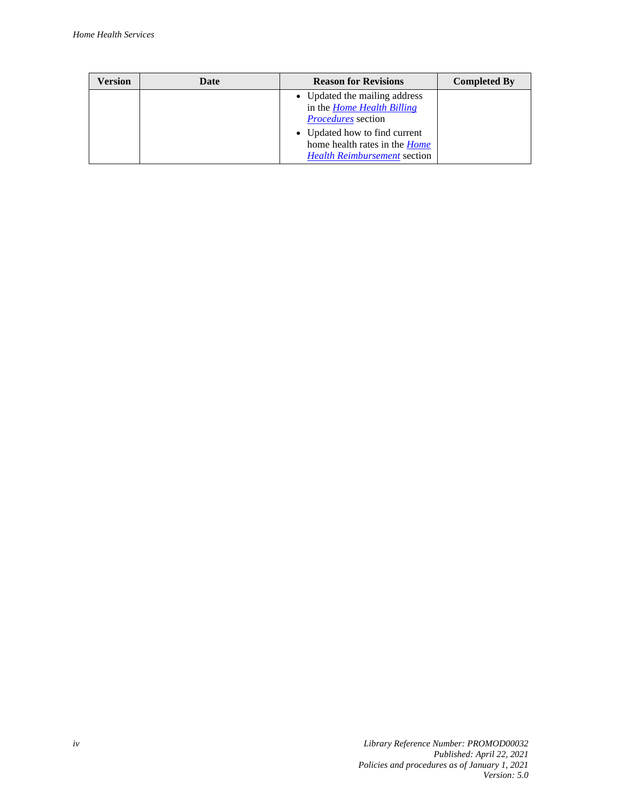| Version | Date                                                                                                         | <b>Reason for Revisions</b>                                                                     | <b>Completed By</b> |
|---------|--------------------------------------------------------------------------------------------------------------|-------------------------------------------------------------------------------------------------|---------------------|
|         |                                                                                                              | • Updated the mailing address<br>in the <i>Home Health Billing</i><br><i>Procedures</i> section |                     |
|         | • Updated how to find current<br>home health rates in the <i>Home</i><br><b>Health Reimbursement section</b> |                                                                                                 |                     |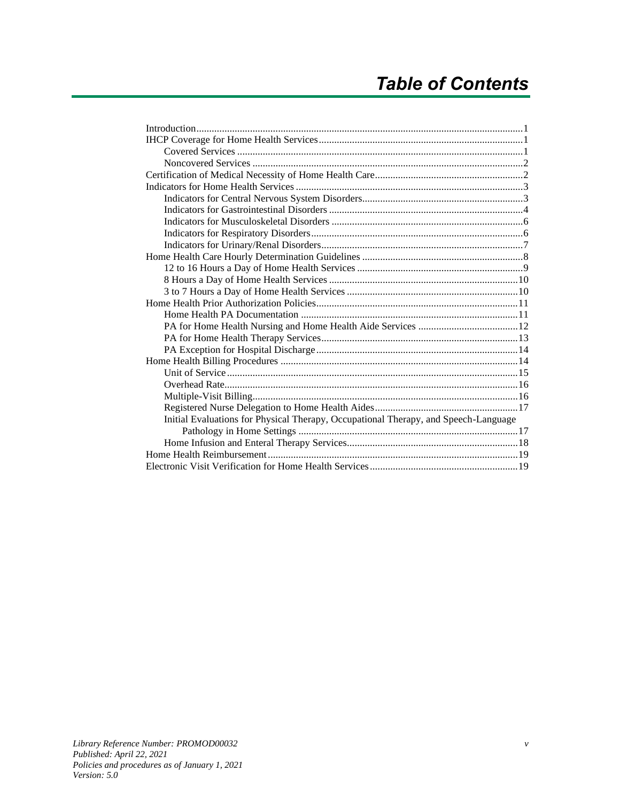| Initial Evaluations for Physical Therapy, Occupational Therapy, and Speech-Language |  |
|-------------------------------------------------------------------------------------|--|
|                                                                                     |  |
|                                                                                     |  |
|                                                                                     |  |
|                                                                                     |  |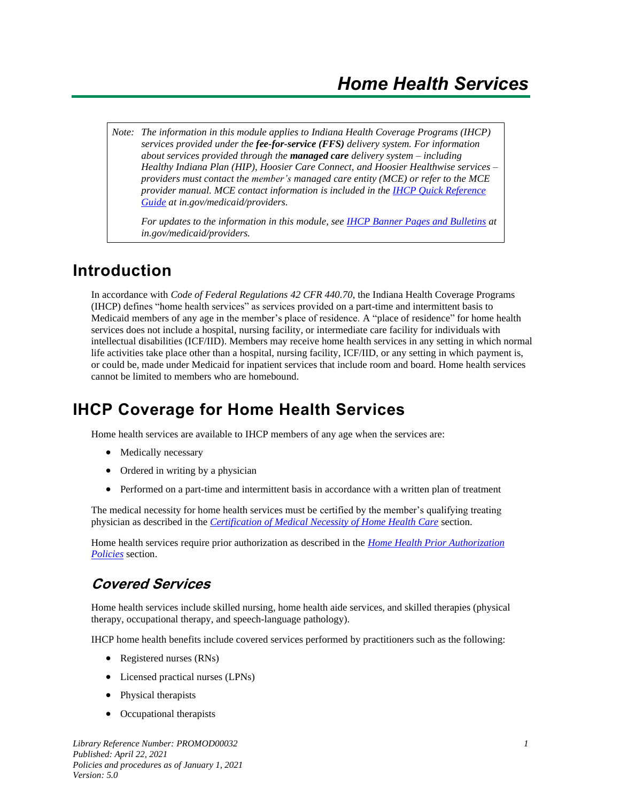*Note: The information in this module applies to Indiana Health Coverage Programs (IHCP) services provided under the fee-for-service (FFS) delivery system. For information about services provided through the managed care delivery system – including Healthy Indiana Plan (HIP), Hoosier Care Connect, and Hoosier Healthwise services – providers must contact the member's managed care entity (MCE) or refer to the MCE provider manual. MCE contact information is included in the [IHCP Quick Reference](https://www.in.gov/medicaid/files/quick%20reference.pdf)  [Guide](https://www.in.gov/medicaid/files/quick%20reference.pdf) at in.gov/medicaid/providers.*

*For updates to the information in this module, see IHCP [Banner Pages and Bulletins](https://www.in.gov/medicaid/providers/829.htm) at in.gov/medicaid/providers.*

#### <span id="page-6-0"></span>**Introduction**

In accordance with *Code of Federal Regulations 42 CFR 440.70*, the Indiana Health Coverage Programs (IHCP) defines "home health services" as services provided on a part-time and intermittent basis to Medicaid members of any age in the member's place of residence. A "place of residence" for home health services does not include a hospital, nursing facility, or intermediate care facility for individuals with intellectual disabilities (ICF/IID). Members may receive home health services in any setting in which normal life activities take place other than a hospital, nursing facility, ICF/IID, or any setting in which payment is, or could be, made under Medicaid for inpatient services that include room and board. Home health services cannot be limited to members who are homebound.

#### <span id="page-6-1"></span>**IHCP Coverage for Home Health Services**

Home health services are available to IHCP members of any age when the services are:

- Medically necessary
- Ordered in writing by a physician
- Performed on a part-time and intermittent basis in accordance with a written plan of treatment

The medical necessity for home health services must be certified by the member's qualifying treating physician as described in the *[Certification of Medical Necessity of Home Health Care](#page-7-1)* section.

Home health services require prior authorization as described in the *[Home Health Prior Authorization](#page-16-0)  [Policies](#page-16-0)* section.

#### <span id="page-6-2"></span>**Covered Services**

Home health services include skilled nursing, home health aide services, and skilled therapies (physical therapy, occupational therapy, and speech-language pathology).

IHCP home health benefits include covered services performed by practitioners such as the following:

- Registered nurses (RNs)
- Licensed practical nurses (LPNs)
- Physical therapists
- Occupational therapists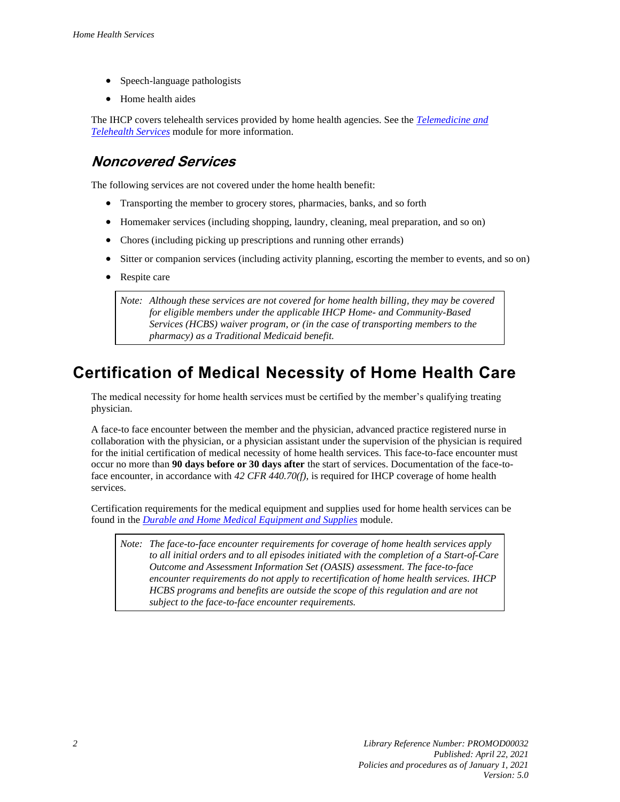- Speech-language pathologists
- Home health aides

The IHCP covers telehealth services provided by home health agencies. See the *[Telemedicine and](https://www.in.gov/medicaid/files/telemedicine%20and%20telehealth%20services.pdf)  [Telehealth Services](https://www.in.gov/medicaid/files/telemedicine%20and%20telehealth%20services.pdf)* module for more information.

#### <span id="page-7-0"></span>**Noncovered Services**

The following services are not covered under the home health benefit:

- Transporting the member to grocery stores, pharmacies, banks, and so forth
- Homemaker services (including shopping, laundry, cleaning, meal preparation, and so on)
- Chores (including picking up prescriptions and running other errands)
- Sitter or companion services (including activity planning, escorting the member to events, and so on)
- Respite care

*Note: Although these services are not covered for home health billing, they may be covered for eligible members under the applicable IHCP Home- and Community-Based Services (HCBS) waiver program, or (in the case of transporting members to the pharmacy) as a Traditional Medicaid benefit.*

## <span id="page-7-1"></span>**Certification of Medical Necessity of Home Health Care**

The medical necessity for home health services must be certified by the member's qualifying treating physician.

A face-to face encounter between the member and the physician, advanced practice registered nurse in collaboration with the physician, or a physician assistant under the supervision of the physician is required for the initial certification of medical necessity of home health services. This face-to-face encounter must occur no more than **90 days before or 30 days after** the start of services. Documentation of the face-toface encounter, in accordance with *42 CFR 440.70(f),* is required for IHCP coverage of home health services.

Certification requirements for the medical equipment and supplies used for home health services can be found in the *[Durable and Home Medical Equipment and Supplies](https://www.in.gov/medicaid/files/durable%20and%20home%20medical%20equipment%20and%20supplies.pdf)* module.

*Note: The face-to-face encounter requirements for coverage of home health services apply to all initial orders and to all episodes initiated with the completion of a Start-of-Care Outcome and Assessment Information Set (OASIS) assessment. The face-to-face encounter requirements do not apply to recertification of home health services. IHCP HCBS programs and benefits are outside the scope of this regulation and are not subject to the face-to-face encounter requirements.*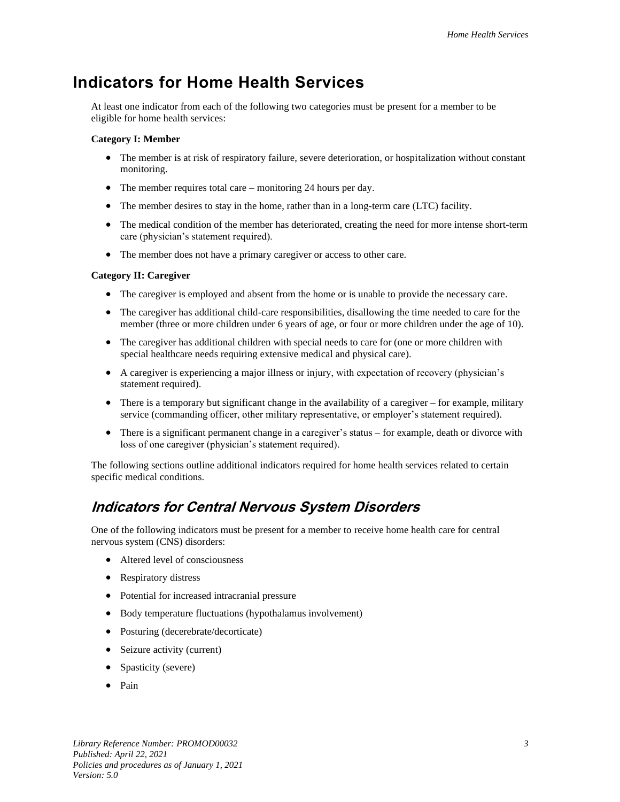### <span id="page-8-0"></span>**Indicators for Home Health Services**

At least one indicator from each of the following two categories must be present for a member to be eligible for home health services:

#### **Category I: Member**

- The member is at risk of respiratory failure, severe deterioration, or hospitalization without constant monitoring.
- The member requires total care monitoring 24 hours per day.
- The member desires to stay in the home, rather than in a long-term care (LTC) facility.
- The medical condition of the member has deteriorated, creating the need for more intense short-term care (physician's statement required).
- The member does not have a primary caregiver or access to other care.

#### **Category II: Caregiver**

- The caregiver is employed and absent from the home or is unable to provide the necessary care.
- The caregiver has additional child-care responsibilities, disallowing the time needed to care for the member (three or more children under 6 years of age, or four or more children under the age of 10).
- The caregiver has additional children with special needs to care for (one or more children with special healthcare needs requiring extensive medical and physical care).
- A caregiver is experiencing a major illness or injury, with expectation of recovery (physician's statement required).
- There is a temporary but significant change in the availability of a caregiver for example, military service (commanding officer, other military representative, or employer's statement required).
- There is a significant permanent change in a caregiver's status for example, death or divorce with loss of one caregiver (physician's statement required).

The following sections outline additional indicators required for home health services related to certain specific medical conditions.

#### <span id="page-8-1"></span>**Indicators for Central Nervous System Disorders**

One of the following indicators must be present for a member to receive home health care for central nervous system (CNS) disorders:

- Altered level of consciousness
- Respiratory distress
- Potential for increased intracranial pressure
- Body temperature fluctuations (hypothalamus involvement)
- Posturing (decerebrate/decorticate)
- Seizure activity (current)
- Spasticity (severe)
- Pain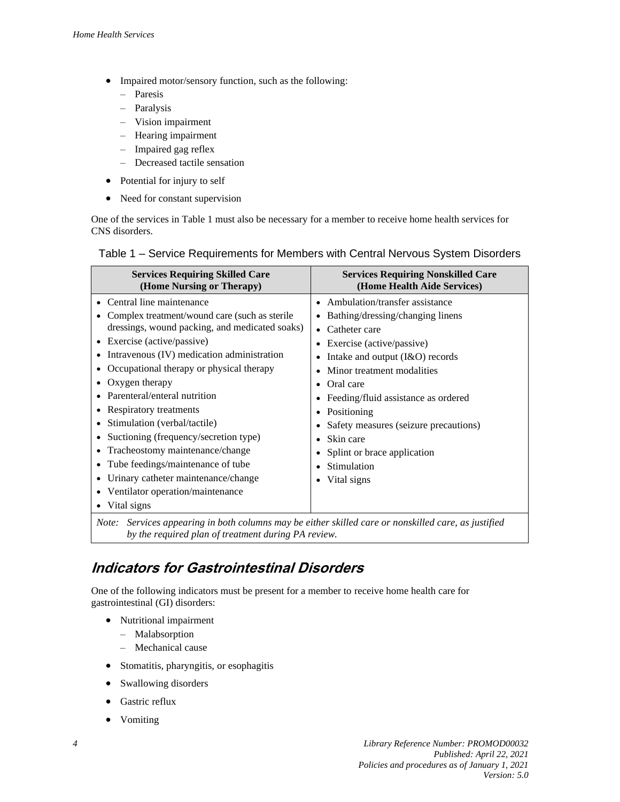- Impaired motor/sensory function, such as the following:
	- Paresis
	- Paralysis
	- Vision impairment
	- Hearing impairment
	- Impaired gag reflex
	- Decreased tactile sensation
- Potential for injury to self
- Need for constant supervision

One of the services in Table 1 must also be necessary for a member to receive home health services for CNS disorders.

#### <span id="page-9-0"></span>Table 1 – Service Requirements for Members with Central Nervous System Disorders

| <b>Services Requiring Skilled Care</b>                                                                                                                                                                                                                                                                                                                                                                                                                                                                                                                                    | <b>Services Requiring Nonskilled Care</b>                                                                                                                                                                                                                                                                                                                                 |
|---------------------------------------------------------------------------------------------------------------------------------------------------------------------------------------------------------------------------------------------------------------------------------------------------------------------------------------------------------------------------------------------------------------------------------------------------------------------------------------------------------------------------------------------------------------------------|---------------------------------------------------------------------------------------------------------------------------------------------------------------------------------------------------------------------------------------------------------------------------------------------------------------------------------------------------------------------------|
| (Home Nursing or Therapy)                                                                                                                                                                                                                                                                                                                                                                                                                                                                                                                                                 | (Home Health Aide Services)                                                                                                                                                                                                                                                                                                                                               |
| Central line maintenance<br>Complex treatment/wound care (such as sterile<br>dressings, wound packing, and medicated soaks)<br>Exercise (active/passive)<br>Intravenous (IV) medication administration<br>Occupational therapy or physical therapy<br>Oxygen therapy<br>Parenteral/enteral nutrition<br>Respiratory treatments<br>Stimulation (verbal/tactile)<br>Suctioning (frequency/secretion type)<br>Tracheostomy maintenance/change<br>Tube feedings/maintenance of tube<br>Urinary catheter maintenance/change<br>Ventilator operation/maintenance<br>Vital signs | • Ambulation/transfer assistance<br>Bathing/dressing/changing linens<br>Catheter care<br>Exercise (active/passive)<br>Intake and output (I&O) records<br>Minor treatment modalities<br>Oral care<br>Feeding/fluid assistance as ordered<br>Positioning<br>Safety measures (seizure precautions)<br>Skin care<br>Splint or brace application<br>Stimulation<br>Vital signs |

*Note: Services appearing in both columns may be either skilled care or nonskilled care, as justified by the required plan of treatment during PA review.*

#### <span id="page-9-1"></span>**Indicators for Gastrointestinal Disorders**

One of the following indicators must be present for a member to receive home health care for gastrointestinal (GI) disorders:

- Nutritional impairment
	- Malabsorption
	- Mechanical cause
- Stomatitis, pharyngitis, or esophagitis
- Swallowing disorders
- Gastric reflux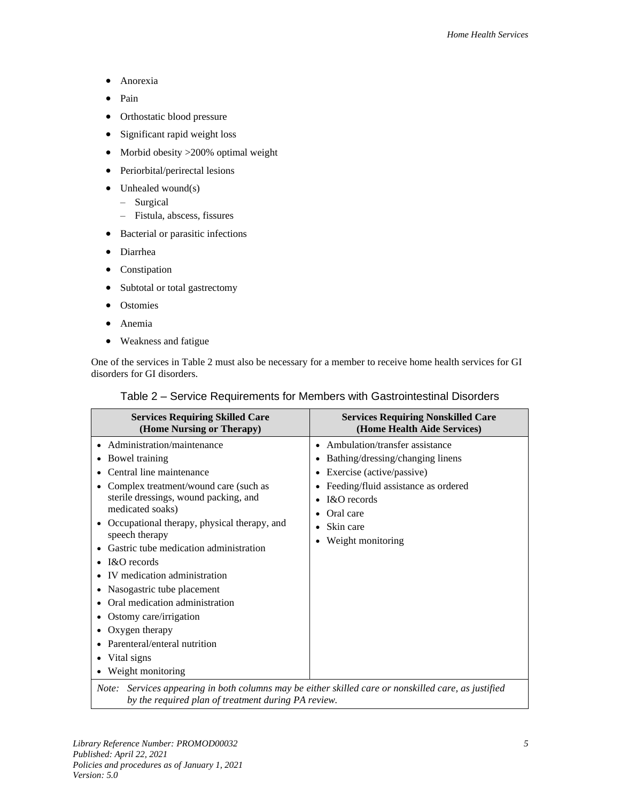- Anorexia
- Pain
- Orthostatic blood pressure
- Significant rapid weight loss
- Morbid obesity > 200% optimal weight
- Periorbital/perirectal lesions
- Unhealed wound(s)
	- Surgical
	- Fistula, abscess, fissures
- Bacterial or parasitic infections
- Diarrhea
- Constipation
- Subtotal or total gastrectomy
- **Ostomies**
- Anemia
- Weakness and fatigue

<span id="page-10-0"></span>One of the services in Table 2 must also be necessary for a member to receive home health services for GI disorders for GI disorders.

| <b>Services Requiring Skilled Care</b><br>(Home Nursing or Therapy)                                                                                                                                                                                                                                                                                                                                                                                                                                                                        | <b>Services Requiring Nonskilled Care</b><br>(Home Health Aide Services)                                                                                                                               |  |
|--------------------------------------------------------------------------------------------------------------------------------------------------------------------------------------------------------------------------------------------------------------------------------------------------------------------------------------------------------------------------------------------------------------------------------------------------------------------------------------------------------------------------------------------|--------------------------------------------------------------------------------------------------------------------------------------------------------------------------------------------------------|--|
| Administration/maintenance<br>Bowel training<br>Central line maintenance<br>Complex treatment/wound care (such as<br>sterile dressings, wound packing, and<br>medicated soaks)<br>Occupational therapy, physical therapy, and<br>speech therapy<br>Gastric tube medication administration<br>I&O records<br>$\bullet$<br>IV medication administration<br>Nasogastric tube placement<br>Oral medication administration<br>Ostomy care/irrigation<br>Oxygen therapy<br>٠<br>Parenteral/enteral nutrition<br>Vital signs<br>Weight monitoring | • Ambulation/transfer assistance<br>Bathing/dressing/changing linens<br>Exercise (active/passive)<br>Feeding/fluid assistance as ordered<br>I&O records<br>Oral care<br>Skin care<br>Weight monitoring |  |
| Note: Services appearing in both columns may be either skilled care or nonskilled care, as justified                                                                                                                                                                                                                                                                                                                                                                                                                                       |                                                                                                                                                                                                        |  |

#### Table 2 – Service Requirements for Members with Gastrointestinal Disorders

*by the required plan of treatment during PA review.*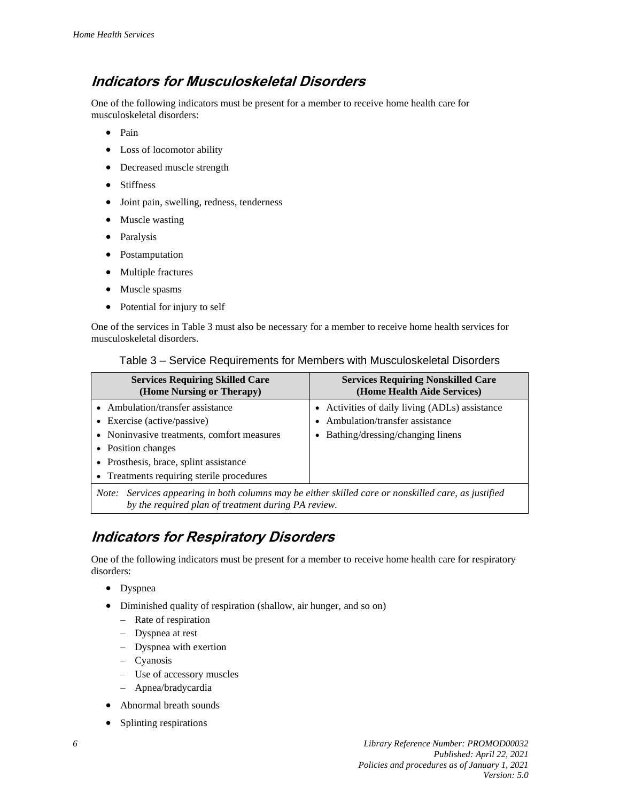#### <span id="page-11-0"></span>**Indicators for Musculoskeletal Disorders**

One of the following indicators must be present for a member to receive home health care for musculoskeletal disorders:

- Pain
- Loss of locomotor ability
- Decreased muscle strength
- Stiffness
- Joint pain, swelling, redness, tenderness
- Muscle wasting
- Paralysis
- Postamputation
- Multiple fractures
- Muscle spasms
- Potential for injury to self

One of the services in Table 3 must also be necessary for a member to receive home health services for musculoskeletal disorders.

| Table 3 – Service Requirements for Members with Musculoskeletal Disorders |  |  |  |  |  |
|---------------------------------------------------------------------------|--|--|--|--|--|
|---------------------------------------------------------------------------|--|--|--|--|--|

| <b>Services Requiring Skilled Care</b><br>(Home Nursing or Therapy)                                                                                                                                                        | <b>Services Requiring Nonskilled Care</b><br>(Home Health Aide Services)                                             |  |
|----------------------------------------------------------------------------------------------------------------------------------------------------------------------------------------------------------------------------|----------------------------------------------------------------------------------------------------------------------|--|
| • Ambulation/transfer assistance<br>• Exercise (active/passive)<br>• Noninvasive treatments, comfort measures<br>• Position changes<br>• Prosthesis, brace, splint assistance<br>• Treatments requiring sterile procedures | • Activities of daily living (ADLs) assistance<br>Ambulation/transfer assistance<br>Bathing/dressing/changing linens |  |
| Services appearing in both columns may be either skilled care or nonskilled care, as justified<br>Note:<br>by the required plan of treatment during PA review.                                                             |                                                                                                                      |  |

#### <span id="page-11-1"></span>**Indicators for Respiratory Disorders**

One of the following indicators must be present for a member to receive home health care for respiratory disorders:

- Dyspnea
- Diminished quality of respiration (shallow, air hunger, and so on)
	- Rate of respiration
	- Dyspnea at rest
	- Dyspnea with exertion
	- Cyanosis
	- Use of accessory muscles
	- Apnea/bradycardia
- Abnormal breath sounds
- Splinting respirations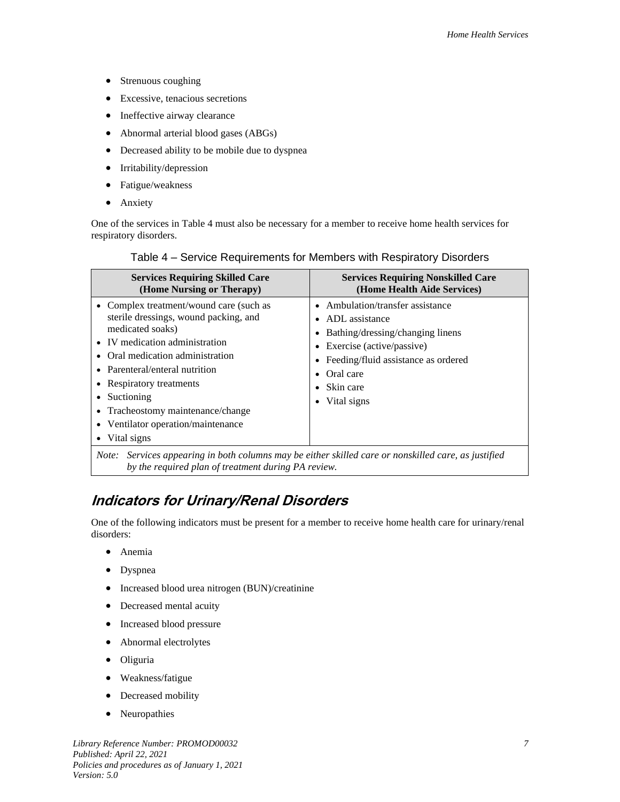- Strenuous coughing
- Excessive, tenacious secretions
- Ineffective airway clearance
- Abnormal arterial blood gases (ABGs)
- Decreased ability to be mobile due to dyspnea
- Irritability/depression
- Fatigue/weakness
- Anxiety

One of the services in Table 4 must also be necessary for a member to receive home health services for respiratory disorders.

| Table 4 – Service Requirements for Members with Respiratory Disorders |  |
|-----------------------------------------------------------------------|--|
|                                                                       |  |

| <b>Services Requiring Skilled Care</b>                                                                                                                                                                                                                                                                                                              | <b>Services Requiring Nonskilled Care</b>                                                                                                                                                             |
|-----------------------------------------------------------------------------------------------------------------------------------------------------------------------------------------------------------------------------------------------------------------------------------------------------------------------------------------------------|-------------------------------------------------------------------------------------------------------------------------------------------------------------------------------------------------------|
| (Home Nursing or Therapy)                                                                                                                                                                                                                                                                                                                           | (Home Health Aide Services)                                                                                                                                                                           |
| • Complex treatment/wound care (such as<br>sterile dressings, wound packing, and<br>medicated soaks)<br>IV medication administration<br>Oral medication administration<br>• Parenteral/enteral nutrition<br>Respiratory treatments<br>Suctioning<br>Tracheostomy maintenance/change<br>Ventilator operation/maintenance<br>$\bullet$<br>Vital signs | • Ambulation/transfer assistance<br>ADL assistance<br>Bathing/dressing/changing linens<br>• Exercise (active/passive)<br>Feeding/fluid assistance as ordered<br>Oral care<br>Skin care<br>Vital signs |

*Note: Services appearing in both columns may be either skilled care or nonskilled care, as justified by the required plan of treatment during PA review.*

#### <span id="page-12-0"></span>**Indicators for Urinary/Renal Disorders**

One of the following indicators must be present for a member to receive home health care for urinary/renal disorders:

- Anemia
- Dyspnea
- Increased blood urea nitrogen (BUN)/creatinine
- Decreased mental acuity
- Increased blood pressure
- Abnormal electrolytes
- Oliguria
- Weakness/fatigue
- Decreased mobility
- **Neuropathies**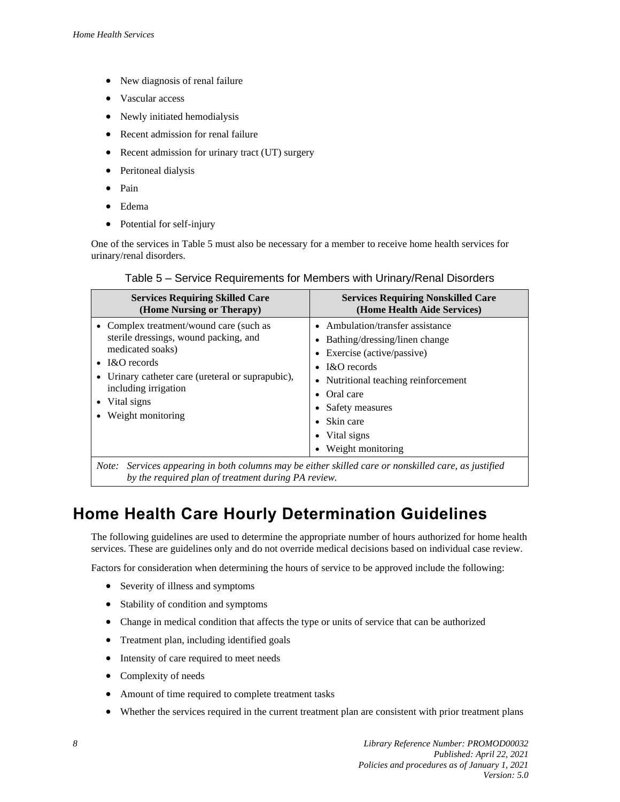- New diagnosis of renal failure
- Vascular access
- Newly initiated hemodialysis
- Recent admission for renal failure
- Recent admission for urinary tract (UT) surgery
- Peritoneal dialysis
- Pain
- Edema
- Potential for self-injury

One of the services in Table 5 must also be necessary for a member to receive home health services for urinary/renal disorders.

| Table 5 – Service Requirements for Members with Urinary/Renal Disorders |
|-------------------------------------------------------------------------|
|-------------------------------------------------------------------------|

| <b>Services Requiring Skilled Care</b><br>(Home Nursing or Therapy)                                                                                                                                                                | <b>Services Requiring Nonskilled Care</b><br>(Home Health Aide Services)                                                                                                                                                                                    |
|------------------------------------------------------------------------------------------------------------------------------------------------------------------------------------------------------------------------------------|-------------------------------------------------------------------------------------------------------------------------------------------------------------------------------------------------------------------------------------------------------------|
| • Complex treatment/wound care (such as<br>sterile dressings, wound packing, and<br>medicated soaks)<br>I&O records<br>Urinary catheter care (ureteral or suprapubic),<br>including irrigation<br>Vital signs<br>Weight monitoring | • Ambulation/transfer assistance<br>• Bathing/dressing/linen change<br>• Exercise (active/passive)<br>• $R$ <sup>c</sup> records<br>• Nutritional teaching reinforcement<br>• Oral care<br>Safety measures<br>Skin care<br>Vital signs<br>Weight monitoring |
| Note: Services appearing in both columns may be either skilled care or nonskilled care, as justified                                                                                                                               |                                                                                                                                                                                                                                                             |

*Note: Services appearing in both columns may be either skilled care or nonskilled care, as justified by the required plan of treatment during PA review.*

## <span id="page-13-0"></span>**Home Health Care Hourly Determination Guidelines**

The following guidelines are used to determine the appropriate number of hours authorized for home health services. These are guidelines only and do not override medical decisions based on individual case review.

Factors for consideration when determining the hours of service to be approved include the following:

- Severity of illness and symptoms
- Stability of condition and symptoms
- Change in medical condition that affects the type or units of service that can be authorized
- Treatment plan, including identified goals
- Intensity of care required to meet needs
- Complexity of needs
- Amount of time required to complete treatment tasks
- Whether the services required in the current treatment plan are consistent with prior treatment plans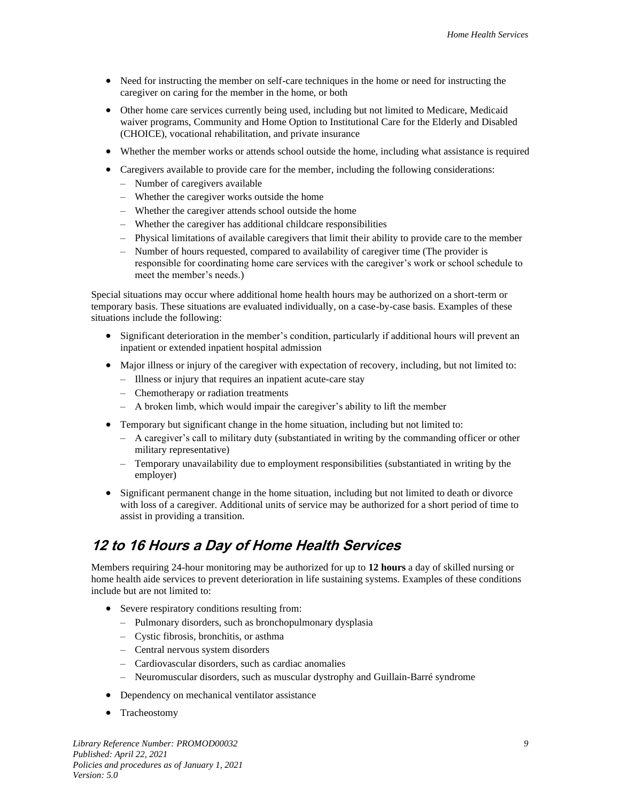- Need for instructing the member on self-care techniques in the home or need for instructing the caregiver on caring for the member in the home, or both
- Other home care services currently being used, including but not limited to Medicare, Medicaid waiver programs, Community and Home Option to Institutional Care for the Elderly and Disabled (CHOICE), vocational rehabilitation, and private insurance
- Whether the member works or attends school outside the home, including what assistance is required
- Caregivers available to provide care for the member, including the following considerations:
	- Number of caregivers available
	- Whether the caregiver works outside the home
	- Whether the caregiver attends school outside the home
	- Whether the caregiver has additional childcare responsibilities
	- Physical limitations of available caregivers that limit their ability to provide care to the member
	- Number of hours requested, compared to availability of caregiver time (The provider is responsible for coordinating home care services with the caregiver's work or school schedule to meet the member's needs.)

Special situations may occur where additional home health hours may be authorized on a short-term or temporary basis. These situations are evaluated individually, on a case-by-case basis. Examples of these situations include the following:

- Significant deterioration in the member's condition, particularly if additional hours will prevent an inpatient or extended inpatient hospital admission
- Major illness or injury of the caregiver with expectation of recovery, including, but not limited to:
	- Illness or injury that requires an inpatient acute-care stay
	- Chemotherapy or radiation treatments
	- A broken limb, which would impair the caregiver's ability to lift the member
- Temporary but significant change in the home situation, including but not limited to:
	- A caregiver's call to military duty (substantiated in writing by the commanding officer or other military representative)
	- Temporary unavailability due to employment responsibilities (substantiated in writing by the employer)
- Significant permanent change in the home situation, including but not limited to death or divorce with loss of a caregiver. Additional units of service may be authorized for a short period of time to assist in providing a transition.

#### <span id="page-14-0"></span>**12 to 16 Hours a Day of Home Health Services**

Members requiring 24-hour monitoring may be authorized for up to **12 hours** a day of skilled nursing or home health aide services to prevent deterioration in life sustaining systems. Examples of these conditions include but are not limited to:

- Severe respiratory conditions resulting from:
	- Pulmonary disorders, such as bronchopulmonary dysplasia
	- Cystic fibrosis, bronchitis, or asthma
	- Central nervous system disorders
	- Cardiovascular disorders, such as cardiac anomalies
	- Neuromuscular disorders, such as muscular dystrophy and Guillain-Barré syndrome
- Dependency on mechanical ventilator assistance
- Tracheostomy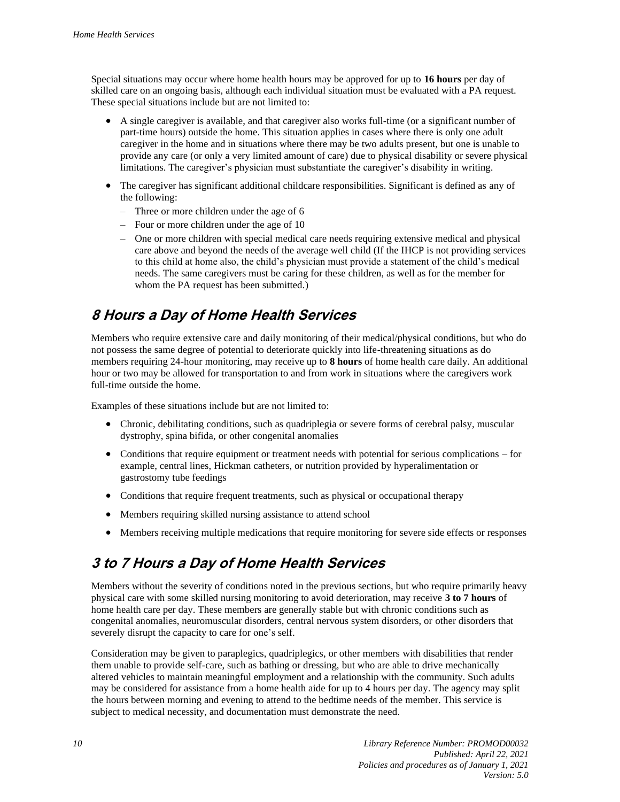Special situations may occur where home health hours may be approved for up to **16 hours** per day of skilled care on an ongoing basis, although each individual situation must be evaluated with a PA request. These special situations include but are not limited to:

- A single caregiver is available, and that caregiver also works full-time (or a significant number of part-time hours) outside the home. This situation applies in cases where there is only one adult caregiver in the home and in situations where there may be two adults present, but one is unable to provide any care (or only a very limited amount of care) due to physical disability or severe physical limitations. The caregiver's physician must substantiate the caregiver's disability in writing.
- The caregiver has significant additional childcare responsibilities. Significant is defined as any of the following:
	- Three or more children under the age of 6
	- Four or more children under the age of 10
	- One or more children with special medical care needs requiring extensive medical and physical care above and beyond the needs of the average well child (If the IHCP is not providing services to this child at home also, the child's physician must provide a statement of the child's medical needs. The same caregivers must be caring for these children, as well as for the member for whom the PA request has been submitted.)

#### <span id="page-15-0"></span>**8 Hours a Day of Home Health Services**

Members who require extensive care and daily monitoring of their medical/physical conditions, but who do not possess the same degree of potential to deteriorate quickly into life-threatening situations as do members requiring 24-hour monitoring, may receive up to **8 hours** of home health care daily. An additional hour or two may be allowed for transportation to and from work in situations where the caregivers work full-time outside the home.

Examples of these situations include but are not limited to:

- Chronic, debilitating conditions, such as quadriplegia or severe forms of cerebral palsy, muscular dystrophy, spina bifida, or other congenital anomalies
- Conditions that require equipment or treatment needs with potential for serious complications for example, central lines, Hickman catheters, or nutrition provided by hyperalimentation or gastrostomy tube feedings
- Conditions that require frequent treatments, such as physical or occupational therapy
- Members requiring skilled nursing assistance to attend school
- Members receiving multiple medications that require monitoring for severe side effects or responses

#### <span id="page-15-1"></span>**3 to 7 Hours a Day of Home Health Services**

Members without the severity of conditions noted in the previous sections, but who require primarily heavy physical care with some skilled nursing monitoring to avoid deterioration, may receive **3 to 7 hours** of home health care per day. These members are generally stable but with chronic conditions such as congenital anomalies, neuromuscular disorders, central nervous system disorders, or other disorders that severely disrupt the capacity to care for one's self.

Consideration may be given to paraplegics, quadriplegics, or other members with disabilities that render them unable to provide self-care, such as bathing or dressing, but who are able to drive mechanically altered vehicles to maintain meaningful employment and a relationship with the community. Such adults may be considered for assistance from a home health aide for up to 4 hours per day. The agency may split the hours between morning and evening to attend to the bedtime needs of the member. This service is subject to medical necessity, and documentation must demonstrate the need.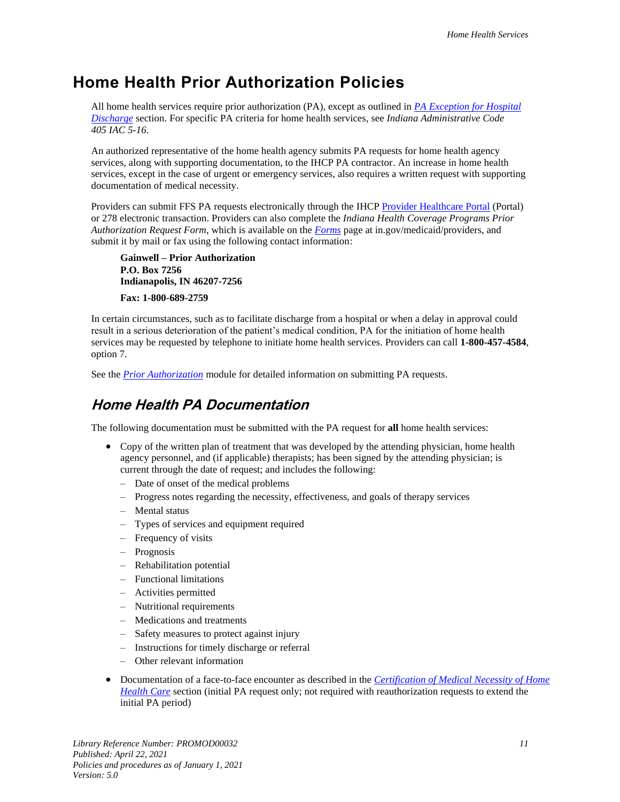#### <span id="page-16-0"></span>**Home Health Prior Authorization Policies**

All home health services require prior authorization (PA), except as outlined in *[PA Exception for Hospital](#page-19-1)  [Discharge](#page-19-1)* section. For specific PA criteria for home health services, see *Indiana Administrative Code 405 IAC 5-16*.

An authorized representative of the home health agency submits PA requests for home health agency services, along with supporting documentation, to the IHCP PA contractor. An increase in home health services, except in the case of urgent or emergency services, also requires a written request with supporting documentation of medical necessity.

Providers can submit FFS PA requests electronically through the IHCP [Provider Healthcare Portal](https://portal.indianamedicaid.com/) (Portal) or 278 electronic transaction. Providers can also complete the *Indiana Health Coverage Programs Prior Authorization Request Form*, which is available on the *[Forms](https://www.in.gov/medicaid/providers/470.htm)* page at in.gov/medicaid/providers, and submit it by mail or fax using the following contact information:

**Gainwell – Prior Authorization P.O. Box 7256 Indianapolis, IN 46207-7256**

**Fax: 1-800-689-2759**

In certain circumstances, such as to facilitate discharge from a hospital or when a delay in approval could result in a serious deterioration of the patient's medical condition, PA for the initiation of home health services may be requested by telephone to initiate home health services. Providers can call **1-800-457-4584**, option 7.

<span id="page-16-1"></span>See the *[Prior Authorization](https://www.in.gov/medicaid/files/prior%20authorization.pdf)* module for detailed information on submitting PA requests.

#### **Home Health PA Documentation**

The following documentation must be submitted with the PA request for **all** home health services:

- Copy of the written plan of treatment that was developed by the attending physician, home health agency personnel, and (if applicable) therapists; has been signed by the attending physician; is current through the date of request; and includes the following:
	- Date of onset of the medical problems
	- Progress notes regarding the necessity, effectiveness, and goals of therapy services
	- Mental status
	- Types of services and equipment required
	- Frequency of visits
	- Prognosis
	- Rehabilitation potential
	- Functional limitations
	- Activities permitted
	- Nutritional requirements
	- Medications and treatments
	- Safety measures to protect against injury
	- Instructions for timely discharge or referral
	- Other relevant information
- Documentation of a face-to-face encounter as described in the *[Certification of Medical Necessity of Home](#page-7-1)  [Health Care](#page-7-1)* section (initial PA request only; not required with reauthorization requests to extend the initial PA period)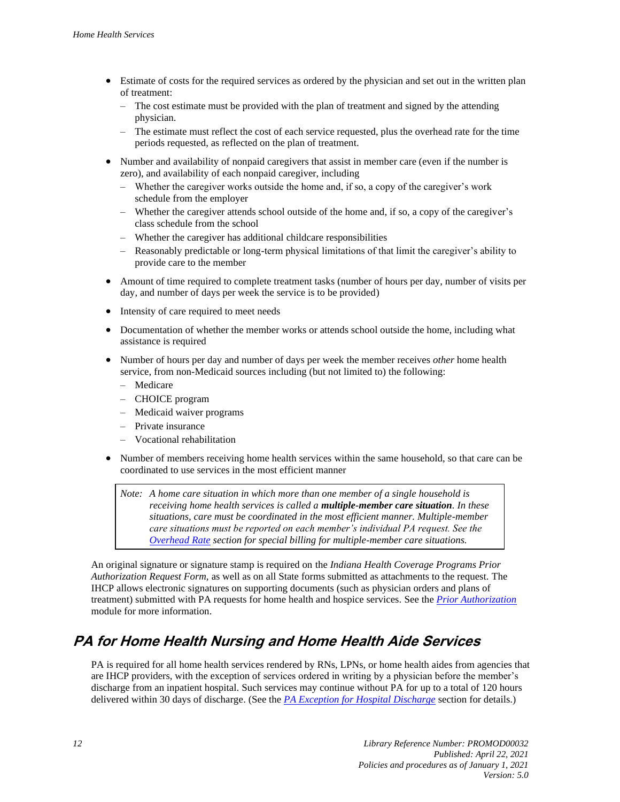- Estimate of costs for the required services as ordered by the physician and set out in the written plan of treatment:
	- The cost estimate must be provided with the plan of treatment and signed by the attending physician.
	- The estimate must reflect the cost of each service requested, plus the overhead rate for the time periods requested, as reflected on the plan of treatment.
- Number and availability of nonpaid caregivers that assist in member care (even if the number is zero), and availability of each nonpaid caregiver, including
	- Whether the caregiver works outside the home and, if so, a copy of the caregiver's work schedule from the employer
	- Whether the caregiver attends school outside of the home and, if so, a copy of the caregiver's class schedule from the school
	- Whether the caregiver has additional childcare responsibilities
	- Reasonably predictable or long-term physical limitations of that limit the caregiver's ability to provide care to the member
- Amount of time required to complete treatment tasks (number of hours per day, number of visits per day, and number of days per week the service is to be provided)
- Intensity of care required to meet needs
- Documentation of whether the member works or attends school outside the home, including what assistance is required
- Number of hours per day and number of days per week the member receives *other* home health service, from non-Medicaid sources including (but not limited to) the following:
	- Medicare
	- CHOICE program
	- Medicaid waiver programs
	- Private insurance
	- Vocational rehabilitation
- Number of members receiving home health services within the same household, so that care can be coordinated to use services in the most efficient manner

*Note: A home care situation in which more than one member of a single household is receiving home health services is called a multiple-member care situation. In these situations, care must be coordinated in the most efficient manner. Multiple-member care situations must be reported on each member's individual PA request. See the [Overhead Rate](#page-21-0) section for special billing for multiple-member care situations.* 

An original signature or signature stamp is required on the *Indiana Health Coverage Programs Prior Authorization Request Form,* as well as on all State forms submitted as attachments to the request. The IHCP allows electronic signatures on supporting documents (such as physician orders and plans of treatment) submitted with PA requests for home health and hospice services. See the *[Prior Authorization](https://www.in.gov/medicaid/files/prior%20authorization.pdf)* module for more information.

#### <span id="page-17-0"></span>**PA for Home Health Nursing and Home Health Aide Services**

PA is required for all home health services rendered by RNs, LPNs, or home health aides from agencies that are IHCP providers, with the exception of services ordered in writing by a physician before the member's discharge from an inpatient hospital. Such services may continue without PA for up to a total of 120 hours delivered within 30 days of discharge. (See the *PA [Exception for Hospital Discharge](#page-19-1)* section for details.)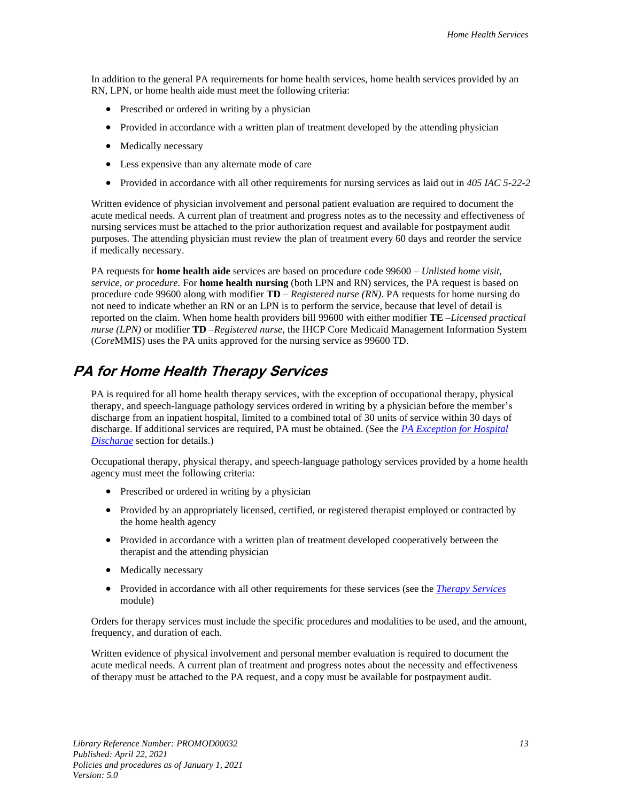In addition to the general PA requirements for home health services, home health services provided by an RN, LPN, or home health aide must meet the following criteria:

- Prescribed or ordered in writing by a physician
- Provided in accordance with a written plan of treatment developed by the attending physician
- Medically necessary
- Less expensive than any alternate mode of care
- Provided in accordance with all other requirements for nursing services as laid out in *405 IAC 5-22-2*

Written evidence of physician involvement and personal patient evaluation are required to document the acute medical needs. A current plan of treatment and progress notes as to the necessity and effectiveness of nursing services must be attached to the prior authorization request and available for postpayment audit purposes. The attending physician must review the plan of treatment every 60 days and reorder the service if medically necessary.

PA requests for **home health aide** services are based on procedure code 99600 – *Unlisted home visit, service, or procedure.* For **home health nursing** (both LPN and RN) services, the PA request is based on procedure code 99600 along with modifier **TD** – *Registered nurse (RN)*. PA requests for home nursing do not need to indicate whether an RN or an LPN is to perform the service, because that level of detail is reported on the claim. When home health providers bill 99600 with either modifier **TE** –*Licensed practical nurse (LPN)* or modifier **TD** –*Registered nurse*, the IHCP Core Medicaid Management Information System (*Core*MMIS) uses the PA units approved for the nursing service as 99600 TD.

#### <span id="page-18-0"></span>**PA for Home Health Therapy Services**

PA is required for all home health therapy services, with the exception of occupational therapy, physical therapy, and speech-language pathology services ordered in writing by a physician before the member's discharge from an inpatient hospital, limited to a combined total of 30 units of service within 30 days of discharge. If additional services are required, PA must be obtained. (See the *[PA Exception for Hospital](#page-19-1)  [Discharge](#page-19-1)* section for details.)

Occupational therapy, physical therapy, and speech-language pathology services provided by a home health agency must meet the following criteria:

- Prescribed or ordered in writing by a physician
- Provided by an appropriately licensed, certified, or registered therapist employed or contracted by the home health agency
- Provided in accordance with a written plan of treatment developed cooperatively between the therapist and the attending physician
- Medically necessary
- Provided in accordance with all other requirements for these services (see the *[Therapy Services](https://www.in.gov/medicaid/files/therapy%20services.pdf)* module)

Orders for therapy services must include the specific procedures and modalities to be used, and the amount, frequency, and duration of each.

Written evidence of physical involvement and personal member evaluation is required to document the acute medical needs. A current plan of treatment and progress notes about the necessity and effectiveness of therapy must be attached to the PA request, and a copy must be available for postpayment audit.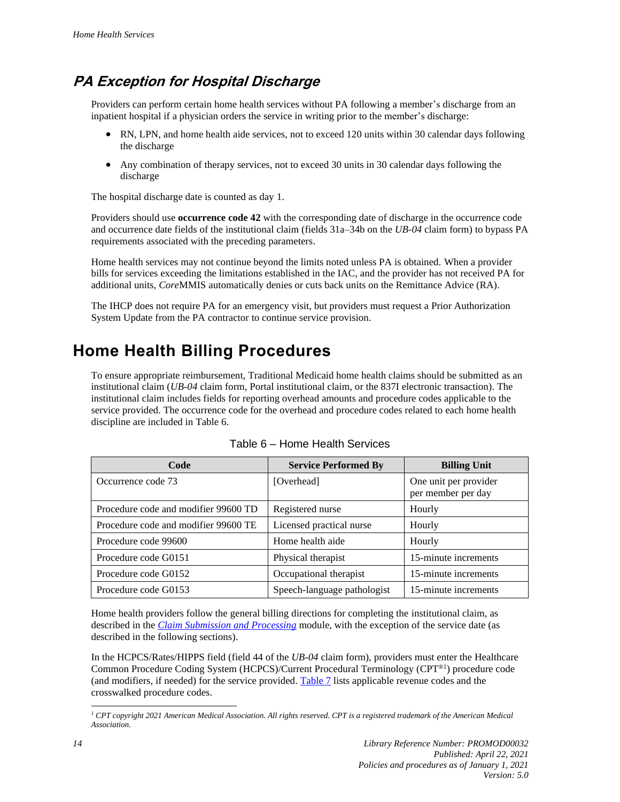#### <span id="page-19-1"></span>**PA Exception for Hospital Discharge**

Providers can perform certain home health services without PA following a member's discharge from an inpatient hospital if a physician orders the service in writing prior to the member's discharge:

- RN, LPN, and home health aide services, not to exceed 120 units within 30 calendar days following the discharge
- Any combination of therapy services, not to exceed 30 units in 30 calendar days following the discharge

The hospital discharge date is counted as day 1.

Providers should use **occurrence code 42** with the corresponding date of discharge in the occurrence code and occurrence date fields of the institutional claim (fields 31a–34b on the *UB-04* claim form) to bypass PA requirements associated with the preceding parameters.

Home health services may not continue beyond the limits noted unless PA is obtained. When a provider bills for services exceeding the limitations established in the IAC, and the provider has not received PA for additional units, *Core*MMIS automatically denies or cuts back units on the Remittance Advice (RA).

The IHCP does not require PA for an emergency visit, but providers must request a Prior Authorization System Update from the PA contractor to continue service provision.

## <span id="page-19-0"></span>**Home Health Billing Procedures**

To ensure appropriate reimbursement, Traditional Medicaid home health claims should be submitted as an institutional claim (*UB-04* claim form, Portal institutional claim, or the 837I electronic transaction). The institutional claim includes fields for reporting overhead amounts and procedure codes applicable to the service provided. The occurrence code for the overhead and procedure codes related to each home health discipline are included in Table 6.

<span id="page-19-2"></span>

| Code                                 | <b>Service Performed By</b> | <b>Billing Unit</b>                         |
|--------------------------------------|-----------------------------|---------------------------------------------|
| Occurrence code 73                   | [Overhead]                  | One unit per provider<br>per member per day |
| Procedure code and modifier 99600 TD | Registered nurse            | Hourly                                      |
| Procedure code and modifier 99600 TE | Licensed practical nurse    | Hourly                                      |
| Procedure code 99600                 | Home health aide            | Hourly                                      |
| Procedure code G0151                 | Physical therapist          | 15-minute increments                        |
| Procedure code G0152                 | Occupational therapist      | 15-minute increments                        |
| Procedure code G0153                 | Speech-language pathologist | 15-minute increments                        |

| Table 6 – Home Health Services |  |  |
|--------------------------------|--|--|
|--------------------------------|--|--|

Home health providers follow the general billing directions for completing the institutional claim, as described in the *[Claim Submission and Processing](https://www.in.gov/medicaid/files/claim%20submission%20and%20processing.pdf)* module, with the exception of the service date (as described in the following sections).

In the HCPCS/Rates/HIPPS field (field 44 of the *UB-04* claim form), providers must enter the Healthcare Common Procedure Coding System (HCPCS)/Current Procedural Terminology (CPT®1 ) procedure code (and modifiers, if needed) for the service provided[. Table 7](#page-20-1) lists applicable revenue codes and the crosswalked procedure codes.

*<sup>1</sup> CPT copyright 2021 American Medical Association. All rights reserved. CPT is a registered trademark of the American Medical Association.*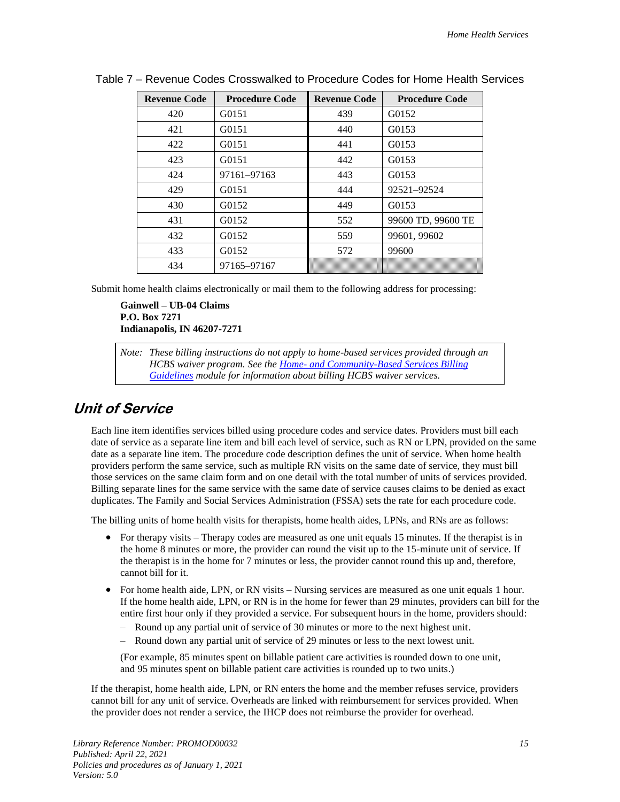| <b>Revenue Code</b> | <b>Procedure Code</b> | <b>Revenue Code</b> | <b>Procedure Code</b> |
|---------------------|-----------------------|---------------------|-----------------------|
| 420                 | G0151                 | 439                 | G0152                 |
| 421                 | G0151                 | 440                 | G0153                 |
| 422                 | G0151                 | 441                 | G0153                 |
| 423                 | G0151                 | 442                 | G0153                 |
| 424                 | 97161-97163           | 443                 | G0153                 |
| 429                 | G0151                 | 444                 | 92521-92524           |
| 430                 | G0152                 | 449                 | G0153                 |
| 431                 | G0152                 | 552                 | 99600 TD, 99600 TE    |
| 432                 | G0152                 | 559                 | 99601, 99602          |
| 433                 | G0152                 | 572                 | 99600                 |
| 434                 | 97165-97167           |                     |                       |

<span id="page-20-1"></span>Table 7 – Revenue Codes Crosswalked to Procedure Codes for Home Health Services

Submit home health claims electronically or mail them to the following address for processing:

**Gainwell – UB-04 Claims P.O. Box 7271 Indianapolis, IN 46207-7271**

*Note: These billing instructions do not apply to home-based services provided through an HCBS waiver program. See the Home- [and Community-Based Services Billing](https://www.in.gov/medicaid/files/hcbs%20billing%20guidelines.pdf)  [Guidelines](https://www.in.gov/medicaid/files/hcbs%20billing%20guidelines.pdf) module for information about billing HCBS waiver services.*

#### <span id="page-20-0"></span>**Unit of Service**

Each line item identifies services billed using procedure codes and service dates. Providers must bill each date of service as a separate line item and bill each level of service, such as RN or LPN, provided on the same date as a separate line item. The procedure code description defines the unit of service. When home health providers perform the same service, such as multiple RN visits on the same date of service, they must bill those services on the same claim form and on one detail with the total number of units of services provided. Billing separate lines for the same service with the same date of service causes claims to be denied as exact duplicates. The Family and Social Services Administration (FSSA) sets the rate for each procedure code.

The billing units of home health visits for therapists, home health aides, LPNs, and RNs are as follows:

- For therapy visits Therapy codes are measured as one unit equals 15 minutes. If the therapist is in the home 8 minutes or more, the provider can round the visit up to the 15-minute unit of service. If the therapist is in the home for 7 minutes or less, the provider cannot round this up and, therefore, cannot bill for it.
- For home health aide, LPN, or RN visits Nursing services are measured as one unit equals 1 hour. If the home health aide, LPN, or RN is in the home for fewer than 29 minutes, providers can bill for the entire first hour only if they provided a service. For subsequent hours in the home, providers should:
	- Round up any partial unit of service of 30 minutes or more to the next highest unit.
	- Round down any partial unit of service of 29 minutes or less to the next lowest unit.

(For example, 85 minutes spent on billable patient care activities is rounded down to one unit, and 95 minutes spent on billable patient care activities is rounded up to two units.)

If the therapist, home health aide, LPN, or RN enters the home and the member refuses service, providers cannot bill for any unit of service. Overheads are linked with reimbursement for services provided. When the provider does not render a service, the IHCP does not reimburse the provider for overhead.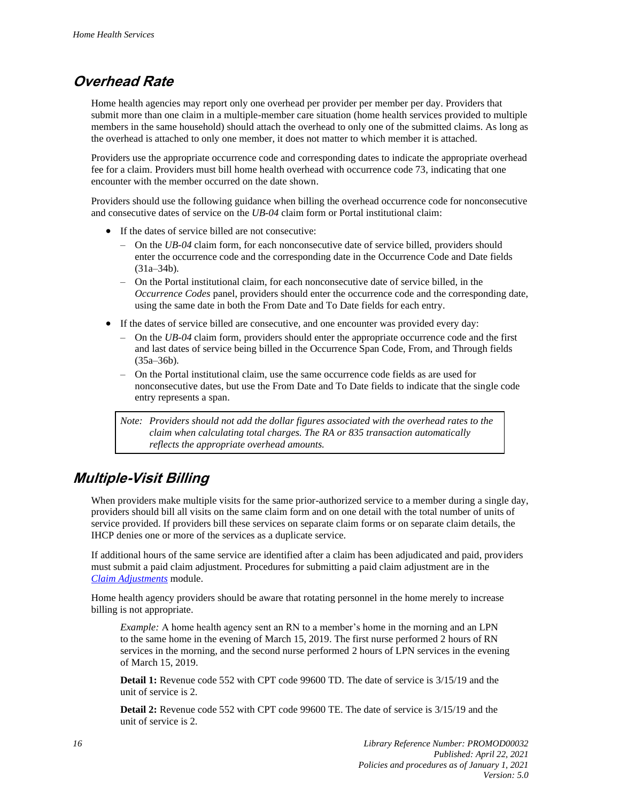#### <span id="page-21-0"></span>**Overhead Rate**

Home health agencies may report only one overhead per provider per member per day. Providers that submit more than one claim in a multiple-member care situation (home health services provided to multiple members in the same household) should attach the overhead to only one of the submitted claims. As long as the overhead is attached to only one member, it does not matter to which member it is attached.

Providers use the appropriate occurrence code and corresponding dates to indicate the appropriate overhead fee for a claim. Providers must bill home health overhead with occurrence code 73, indicating that one encounter with the member occurred on the date shown.

Providers should use the following guidance when billing the overhead occurrence code for nonconsecutive and consecutive dates of service on the *UB-04* claim form or Portal institutional claim:

- If the dates of service billed are not consecutive:
	- On the *UB-04* claim form, for each nonconsecutive date of service billed, providers should enter the occurrence code and the corresponding date in the Occurrence Code and Date fields (31a–34b).
	- On the Portal institutional claim, for each nonconsecutive date of service billed, in the *Occurrence Codes* panel, providers should enter the occurrence code and the corresponding date, using the same date in both the From Date and To Date fields for each entry.
- If the dates of service billed are consecutive, and one encounter was provided every day:
	- On the *UB-04* claim form, providers should enter the appropriate occurrence code and the first and last dates of service being billed in the Occurrence Span Code, From, and Through fields  $(35a-36b)$ .
	- On the Portal institutional claim, use the same occurrence code fields as are used for nonconsecutive dates, but use the From Date and To Date fields to indicate that the single code entry represents a span.

*Note: Providers should not add the dollar figures associated with the overhead rates to the claim when calculating total charges. The RA or 835 transaction automatically reflects the appropriate overhead amounts.*

#### <span id="page-21-1"></span>**Multiple-Visit Billing**

When providers make multiple visits for the same prior-authorized service to a member during a single day, providers should bill all visits on the same claim form and on one detail with the total number of units of service provided. If providers bill these services on separate claim forms or on separate claim details, the IHCP denies one or more of the services as a duplicate service.

If additional hours of the same service are identified after a claim has been adjudicated and paid, providers must submit a paid claim adjustment. Procedures for submitting a paid claim adjustment are in the *Claim [Adjustments](https://www.in.gov/medicaid/files/claim%20adjustments.pdf)* module.

Home health agency providers should be aware that rotating personnel in the home merely to increase billing is not appropriate.

*Example:* A home health agency sent an RN to a member's home in the morning and an LPN to the same home in the evening of March 15, 2019. The first nurse performed 2 hours of RN services in the morning, and the second nurse performed 2 hours of LPN services in the evening of March 15, 2019.

**Detail 1:** Revenue code 552 with CPT code 99600 TD. The date of service is 3/15/19 and the unit of service is 2.

**Detail 2:** Revenue code 552 with CPT code 99600 TE. The date of service is 3/15/19 and the unit of service is 2.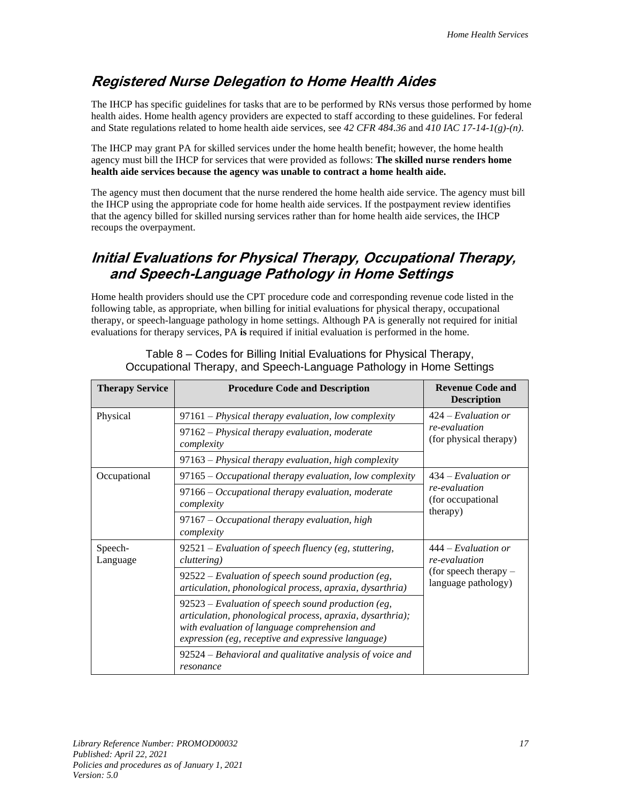#### <span id="page-22-0"></span>**Registered Nurse Delegation to Home Health Aides**

The IHCP has specific guidelines for tasks that are to be performed by RNs versus those performed by home health aides. Home health agency providers are expected to staff according to these guidelines. For federal and State regulations related to home health aide services, see *42 CFR 484.36* and *410 IAC 17-14-1(g)-(n)*.

The IHCP may grant PA for skilled services under the home health benefit; however, the home health agency must bill the IHCP for services that were provided as follows: **The skilled nurse renders home health aide services because the agency was unable to contract a home health aide.** 

The agency must then document that the nurse rendered the home health aide service. The agency must bill the IHCP using the appropriate code for home health aide services. If the postpayment review identifies that the agency billed for skilled nursing services rather than for home health aide services, the IHCP recoups the overpayment.

#### <span id="page-22-1"></span>**Initial Evaluations for Physical Therapy, Occupational Therapy, and Speech-Language Pathology in Home Settings**

Home health providers should use the CPT procedure code and corresponding revenue code listed in the following table, as appropriate, when billing for initial evaluations for physical therapy, occupational therapy, or speech-language pathology in home settings. Although PA is generally not required for initial evaluations for therapy services, PA **is** required if initial evaluation is performed in the home.

| <b>Therapy Service</b> | <b>Procedure Code and Description</b>                                                                                                                                                                                    | <b>Revenue Code and</b><br><b>Description</b>                                            |
|------------------------|--------------------------------------------------------------------------------------------------------------------------------------------------------------------------------------------------------------------------|------------------------------------------------------------------------------------------|
| Physical               | 97161 – Physical therapy evaluation, low complexity                                                                                                                                                                      | $424$ – Evaluation or<br>re-evaluation<br>(for physical therapy)                         |
|                        | 97162 – Physical therapy evaluation, moderate<br>complexity                                                                                                                                                              |                                                                                          |
|                        | 97163 – Physical therapy evaluation, high complexity                                                                                                                                                                     |                                                                                          |
| Occupational           | $97165$ – Occupational therapy evaluation, low complexity                                                                                                                                                                | $434 - Evaluation$ or<br>re-evaluation<br>(for occupational)<br>(therapy)                |
|                        | 97166 – Occupational therapy evaluation, moderate<br>complexity                                                                                                                                                          |                                                                                          |
|                        | $97167 - Occupational$ therapy evaluation, high<br>complexity                                                                                                                                                            |                                                                                          |
| Speech-<br>Language    | $92521$ – Evaluation of speech fluency (eg. stuttering,<br><i>cluttering</i> )                                                                                                                                           | $444 - Evaluation$ or<br>re-evaluation<br>(for speech therapy $-$<br>language pathology) |
|                        | $92522$ – Evaluation of speech sound production (eg,<br>articulation, phonological process, apraxia, dysarthria)                                                                                                         |                                                                                          |
|                        | $92523$ – Evaluation of speech sound production (eg,<br>articulation, phonological process, apraxia, dysarthria);<br>with evaluation of language comprehension and<br>expression (eg, receptive and expressive language) |                                                                                          |
|                        | 92524 – Behavioral and qualitative analysis of voice and<br>resonance                                                                                                                                                    |                                                                                          |

Table 8 – Codes for Billing Initial Evaluations for Physical Therapy, Occupational Therapy, and Speech-Language Pathology in Home Settings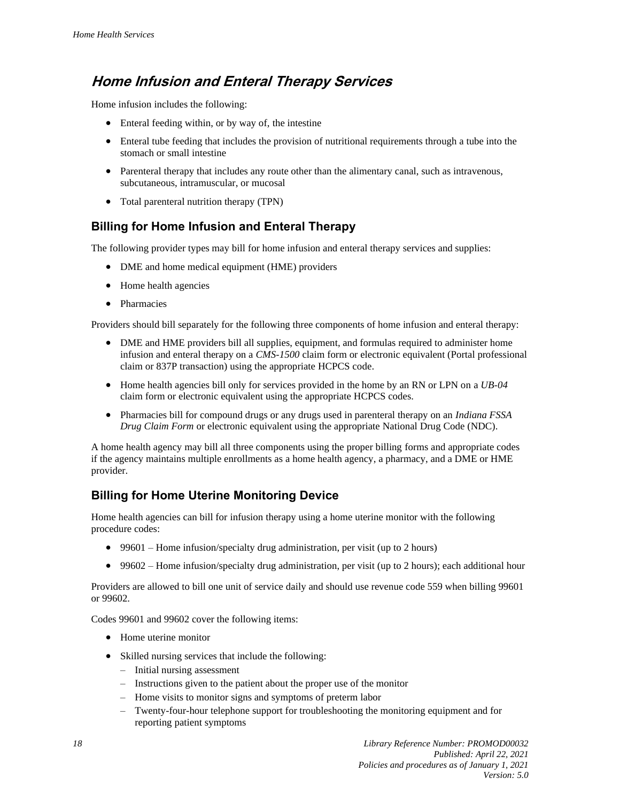#### <span id="page-23-0"></span>**Home Infusion and Enteral Therapy Services**

Home infusion includes the following:

- Enteral feeding within, or by way of, the intestine
- Enteral tube feeding that includes the provision of nutritional requirements through a tube into the stomach or small intestine
- Parenteral therapy that includes any route other than the alimentary canal, such as intravenous, subcutaneous, intramuscular, or mucosal
- Total parenteral nutrition therapy (TPN)

#### **Billing for Home Infusion and Enteral Therapy**

The following provider types may bill for home infusion and enteral therapy services and supplies:

- DME and home medical equipment (HME) providers
- Home health agencies
- Pharmacies

Providers should bill separately for the following three components of home infusion and enteral therapy:

- DME and HME providers bill all supplies, equipment, and formulas required to administer home infusion and enteral therapy on a *CMS-1500* claim form or electronic equivalent (Portal professional claim or 837P transaction) using the appropriate HCPCS code.
- Home health agencies bill only for services provided in the home by an RN or LPN on a *UB-04* claim form or electronic equivalent using the appropriate HCPCS codes.
- Pharmacies bill for compound drugs or any drugs used in parenteral therapy on an *Indiana FSSA Drug Claim Form* or electronic equivalent using the appropriate National Drug Code (NDC).

A home health agency may bill all three components using the proper billing forms and appropriate codes if the agency maintains multiple enrollments as a home health agency, a pharmacy, and a DME or HME provider.

#### **Billing for Home Uterine Monitoring Device**

Home health agencies can bill for infusion therapy using a home uterine monitor with the following procedure codes:

- 99601 Home infusion/specialty drug administration, per visit (up to 2 hours)
- 99602 Home infusion/specialty drug administration, per visit (up to 2 hours); each additional hour

Providers are allowed to bill one unit of service daily and should use revenue code 559 when billing 99601 or 99602.

Codes 99601 and 99602 cover the following items:

- Home uterine monitor
- Skilled nursing services that include the following:
	- Initial nursing assessment
	- Instructions given to the patient about the proper use of the monitor
	- Home visits to monitor signs and symptoms of preterm labor
	- Twenty-four-hour telephone support for troubleshooting the monitoring equipment and for reporting patient symptoms